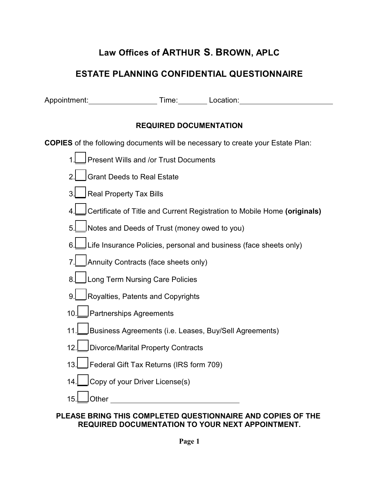# **Law Offices of ARTHUR S. BROWN, APLC**

## **ESTATE PLANNING CONFIDENTIAL QUESTIONNAIRE**

Appointment: Time: Location: Location:

### **REQUIRED DOCUMENTATION**

**COPIES** of the following documents will be necessary to create your Estate Plan:

- 1. Present Wills and /or Trust Documents
- 2. Grant Deeds to Real Estate
- 3. Real Property Tax Bills
- 4. Certificate of Title and Current Registration to Mobile Home **(originals)**
- 5. Notes and Deeds of Trust (money owed to you)
- 6. **Life Insurance Policies, personal and business (face sheets only)**
- 7. Annuity Contracts (face sheets only)
- 8. | Long Term Nursing Care Policies
- 9. Royalties, Patents and Copyrights
- 10. Partnerships Agreements
- 11. Business Agreements (i.e. Leases, Buy/Sell Agreements)
- 12. Divorce/Marital Property Contracts
- 13. Federal Gift Tax Returns (IRS form 709)
- 14. Copy of your Driver License(s)
- 15. Other

#### **PLEASE BRING THIS COMPLETED QUESTIONNAIRE AND COPIES OF THE REQUIRED DOCUMENTATION TO YOUR NEXT APPOINTMENT.**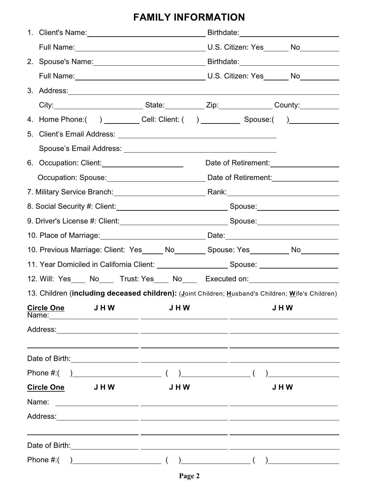# **FAMILY INFORMATION**

|                                                                                                      | 3. Address: 2008. 2009. 2010. 2010. 2010. 2010. 2010. 2010. 2010. 2010. 2010. 2010. 2010. 2010. 2010. 2010. 20           |                                                                                   |                                                                                                                                                                                                                                                                                                                                                     |                                                                                                                                                                                                                                      |  |
|------------------------------------------------------------------------------------------------------|--------------------------------------------------------------------------------------------------------------------------|-----------------------------------------------------------------------------------|-----------------------------------------------------------------------------------------------------------------------------------------------------------------------------------------------------------------------------------------------------------------------------------------------------------------------------------------------------|--------------------------------------------------------------------------------------------------------------------------------------------------------------------------------------------------------------------------------------|--|
|                                                                                                      | City:____________________________State:___________Zip:_______________County:___________                                  |                                                                                   |                                                                                                                                                                                                                                                                                                                                                     |                                                                                                                                                                                                                                      |  |
|                                                                                                      | 4. Home Phone:( ) _________ Cell: Client: ( ) __________ Spouse:( ) ___________                                          |                                                                                   |                                                                                                                                                                                                                                                                                                                                                     |                                                                                                                                                                                                                                      |  |
|                                                                                                      |                                                                                                                          |                                                                                   |                                                                                                                                                                                                                                                                                                                                                     |                                                                                                                                                                                                                                      |  |
|                                                                                                      |                                                                                                                          |                                                                                   |                                                                                                                                                                                                                                                                                                                                                     |                                                                                                                                                                                                                                      |  |
|                                                                                                      |                                                                                                                          |                                                                                   | Date of Retirement:<br><u>[</u> [11] Sate of Retirement:<br>[[12] Sate of Retirement:<br>[12] Sate of Retirement:<br>[12] Sate of Retirement:<br>[12] Sate of Retirement:<br>[12] Sate of Retirement:<br>$\frac{1}{2}$<br>$\frac{1}{2}$<br>$\frac{1}{2}$<br>$\frac{1}{2}$                                                                           |                                                                                                                                                                                                                                      |  |
|                                                                                                      |                                                                                                                          |                                                                                   |                                                                                                                                                                                                                                                                                                                                                     |                                                                                                                                                                                                                                      |  |
|                                                                                                      | 7. Military Service Branch: <u>Cambridge Communication</u> Rank: Communication Communication Communication Communication |                                                                                   |                                                                                                                                                                                                                                                                                                                                                     |                                                                                                                                                                                                                                      |  |
|                                                                                                      |                                                                                                                          |                                                                                   |                                                                                                                                                                                                                                                                                                                                                     |                                                                                                                                                                                                                                      |  |
|                                                                                                      |                                                                                                                          |                                                                                   |                                                                                                                                                                                                                                                                                                                                                     |                                                                                                                                                                                                                                      |  |
|                                                                                                      |                                                                                                                          | 10. Place of Marriage: 10. 2010 Date: Date: 2010 Date: 2010 Date: 2010 Date: 2010 |                                                                                                                                                                                                                                                                                                                                                     |                                                                                                                                                                                                                                      |  |
|                                                                                                      | 10. Previous Marriage: Client: Yes_____ No_______ Spouse: Yes_________ No________                                        |                                                                                   |                                                                                                                                                                                                                                                                                                                                                     |                                                                                                                                                                                                                                      |  |
| 11. Year Domiciled in California Client: ________________________Spouse: ___________________________ |                                                                                                                          |                                                                                   |                                                                                                                                                                                                                                                                                                                                                     |                                                                                                                                                                                                                                      |  |
|                                                                                                      | 12. Will: Yes____ No____ Trust: Yes____ No____ Executed on:_____________________                                         |                                                                                   |                                                                                                                                                                                                                                                                                                                                                     |                                                                                                                                                                                                                                      |  |
|                                                                                                      | 13. Children (including deceased children): (Joint Children; Husband's Children; Wife's Children)                        |                                                                                   |                                                                                                                                                                                                                                                                                                                                                     |                                                                                                                                                                                                                                      |  |
|                                                                                                      | JHW<br><b>Circle One</b><br>Name:                                                                                        | <b>JHW</b>                                                                        |                                                                                                                                                                                                                                                                                                                                                     | JHW                                                                                                                                                                                                                                  |  |
|                                                                                                      |                                                                                                                          |                                                                                   |                                                                                                                                                                                                                                                                                                                                                     |                                                                                                                                                                                                                                      |  |
|                                                                                                      |                                                                                                                          |                                                                                   |                                                                                                                                                                                                                                                                                                                                                     |                                                                                                                                                                                                                                      |  |
|                                                                                                      | $\overline{\phantom{a}}$ (<br>Phone #:(                                                                                  |                                                                                   | $\begin{picture}(20,10) \put(0,0){\line(1,0){10}} \put(15,0){\line(1,0){10}} \put(15,0){\line(1,0){10}} \put(15,0){\line(1,0){10}} \put(15,0){\line(1,0){10}} \put(15,0){\line(1,0){10}} \put(15,0){\line(1,0){10}} \put(15,0){\line(1,0){10}} \put(15,0){\line(1,0){10}} \put(15,0){\line(1,0){10}} \put(15,0){\line(1,0){10}} \put(15,0){\line(1$ | <u> 1989 - John Stone, amerikansk politiker</u>                                                                                                                                                                                      |  |
|                                                                                                      | <b>Circle One</b><br>J H W                                                                                               |                                                                                   | JHW                                                                                                                                                                                                                                                                                                                                                 |                                                                                                                                                                                                                                      |  |
|                                                                                                      | Name:<br><u> 1989 - Andrea Andrew Maria (h. 1989).</u>                                                                   | J H W                                                                             |                                                                                                                                                                                                                                                                                                                                                     |                                                                                                                                                                                                                                      |  |
|                                                                                                      | Address:                                                                                                                 |                                                                                   |                                                                                                                                                                                                                                                                                                                                                     |                                                                                                                                                                                                                                      |  |
|                                                                                                      |                                                                                                                          |                                                                                   |                                                                                                                                                                                                                                                                                                                                                     |                                                                                                                                                                                                                                      |  |
|                                                                                                      |                                                                                                                          |                                                                                   |                                                                                                                                                                                                                                                                                                                                                     |                                                                                                                                                                                                                                      |  |
|                                                                                                      | Phone #:(<br>$\overline{\phantom{a}}$ (                                                                                  |                                                                                   | $\frac{1}{2}$ (                                                                                                                                                                                                                                                                                                                                     | <u>and the community of the community of the community of the community of the community of the community of the community of the community of the community of the community of the community of the community of the community</u> |  |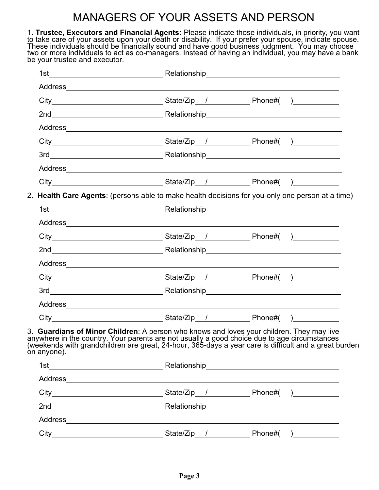# MANAGERS OF YOUR ASSETS AND PERSON

1. **Trustee, Executors and Financial Agents:** Please indicate those individuals, in priority, you want to take care of your assets upon your death or disability. If your prefer your spouse, indicate spouse. These individuals should be financially sound and have good business judgment. You may choose two or more individuals to act as co-managers. Instead of having an individual, you may have a bank be your trustee and executor.

| 2. Health Care Agents: (persons able to make health decisions for you-only one person at a time)                                                                                                                                                                                                                  |  |  |
|-------------------------------------------------------------------------------------------------------------------------------------------------------------------------------------------------------------------------------------------------------------------------------------------------------------------|--|--|
|                                                                                                                                                                                                                                                                                                                   |  |  |
|                                                                                                                                                                                                                                                                                                                   |  |  |
|                                                                                                                                                                                                                                                                                                                   |  |  |
|                                                                                                                                                                                                                                                                                                                   |  |  |
|                                                                                                                                                                                                                                                                                                                   |  |  |
|                                                                                                                                                                                                                                                                                                                   |  |  |
|                                                                                                                                                                                                                                                                                                                   |  |  |
|                                                                                                                                                                                                                                                                                                                   |  |  |
| City___________________________________State/Zip__/______________________________                                                                                                                                                                                                                                 |  |  |
| 3. Guardians of Minor Children: A person who knows and loves your children. They may live<br>anywhere in the country. Your parents are not usually a good choice due to age circumstances<br>(weekends with grandchildren are great, 24-hour, 365-days a year care is difficult and a great burden<br>on anyone). |  |  |
|                                                                                                                                                                                                                                                                                                                   |  |  |
|                                                                                                                                                                                                                                                                                                                   |  |  |
|                                                                                                                                                                                                                                                                                                                   |  |  |
|                                                                                                                                                                                                                                                                                                                   |  |  |
|                                                                                                                                                                                                                                                                                                                   |  |  |
| City___________________________________State/Zip__/______________________________                                                                                                                                                                                                                                 |  |  |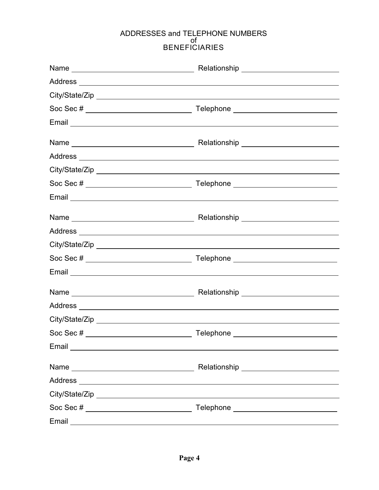#### ADDRESSES and TELEPHONE NUMBERS of BENEFICIARIES

|                                                                                                                | Relationship<br><u>_________________________________</u>                                                              |
|----------------------------------------------------------------------------------------------------------------|-----------------------------------------------------------------------------------------------------------------------|
|                                                                                                                |                                                                                                                       |
|                                                                                                                |                                                                                                                       |
|                                                                                                                |                                                                                                                       |
|                                                                                                                |                                                                                                                       |
|                                                                                                                |                                                                                                                       |
|                                                                                                                |                                                                                                                       |
|                                                                                                                |                                                                                                                       |
|                                                                                                                |                                                                                                                       |
|                                                                                                                |                                                                                                                       |
|                                                                                                                |                                                                                                                       |
|                                                                                                                |                                                                                                                       |
|                                                                                                                |                                                                                                                       |
|                                                                                                                |                                                                                                                       |
|                                                                                                                |                                                                                                                       |
|                                                                                                                |                                                                                                                       |
|                                                                                                                |                                                                                                                       |
|                                                                                                                |                                                                                                                       |
|                                                                                                                |                                                                                                                       |
| Email experience and the service of the service of the service of the service of the service of the service of |                                                                                                                       |
|                                                                                                                |                                                                                                                       |
|                                                                                                                |                                                                                                                       |
|                                                                                                                |                                                                                                                       |
| Soc Sec # ____________________________                                                                         |                                                                                                                       |
| Email                                                                                                          | <u> 1980 - Johann Barn, mars ann an t-Amhain Aonaichte ann an t-Aonaichte ann an t-Aonaichte ann an t-Aonaichte a</u> |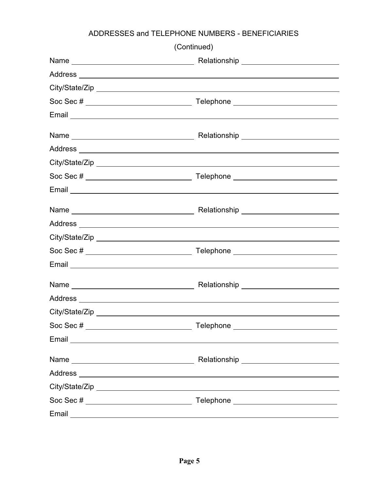## ADDRESSES and TELEPHONE NUMBERS - BENEFICIARIES

|                                         | (Continued)                                                                                                                                                                                                                    |  |
|-----------------------------------------|--------------------------------------------------------------------------------------------------------------------------------------------------------------------------------------------------------------------------------|--|
|                                         |                                                                                                                                                                                                                                |  |
|                                         |                                                                                                                                                                                                                                |  |
|                                         |                                                                                                                                                                                                                                |  |
|                                         |                                                                                                                                                                                                                                |  |
|                                         |                                                                                                                                                                                                                                |  |
|                                         |                                                                                                                                                                                                                                |  |
|                                         |                                                                                                                                                                                                                                |  |
|                                         |                                                                                                                                                                                                                                |  |
| Soc Sec # ____________________________  | Telephone ____________________________                                                                                                                                                                                         |  |
|                                         |                                                                                                                                                                                                                                |  |
|                                         |                                                                                                                                                                                                                                |  |
|                                         |                                                                                                                                                                                                                                |  |
|                                         |                                                                                                                                                                                                                                |  |
| Soc Sec # _____________________________ | Telephone _______________________________                                                                                                                                                                                      |  |
|                                         | Email experience and the contract of the contract of the contract of the contract of the contract of the contract of the contract of the contract of the contract of the contract of the contract of the contract of the contr |  |
|                                         |                                                                                                                                                                                                                                |  |
|                                         |                                                                                                                                                                                                                                |  |
|                                         |                                                                                                                                                                                                                                |  |
| Soc Sec # _____________________________ | Telephone ______________________________                                                                                                                                                                                       |  |
|                                         |                                                                                                                                                                                                                                |  |
|                                         |                                                                                                                                                                                                                                |  |
|                                         |                                                                                                                                                                                                                                |  |
|                                         |                                                                                                                                                                                                                                |  |
| Soc Sec #                               | Telephone _____________________________                                                                                                                                                                                        |  |
|                                         |                                                                                                                                                                                                                                |  |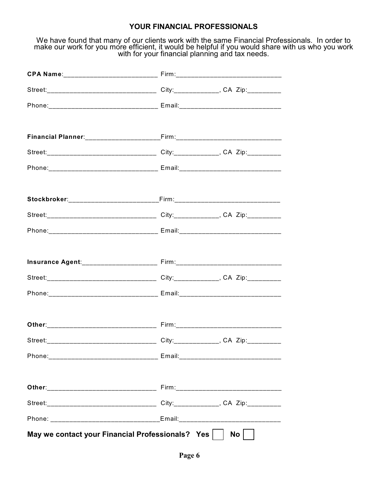#### **YOUR FINANCIAL PROFESSIONALS**

We have found that many of our clients work with the same Financial Professionals. In order to make our work for you more efficient, it would be helpful if you would share with us who you work with for your financial planning and tax needs.

| Phone: ___________________________________ Email: ______________________________ |    |
|----------------------------------------------------------------------------------|----|
|                                                                                  |    |
|                                                                                  |    |
|                                                                                  |    |
| Phone: __________________________________ Email: _______________________________ |    |
|                                                                                  |    |
|                                                                                  |    |
|                                                                                  |    |
| Phone: ___________________________________ Email: ______________________________ |    |
|                                                                                  |    |
|                                                                                  |    |
|                                                                                  |    |
| Phone:___________________________________ Email:________________________________ |    |
|                                                                                  |    |
|                                                                                  |    |
| Street:_________________________________City:______________, CA Zip:____________ |    |
| Phone:__________________________________ Email:_________________________________ |    |
|                                                                                  |    |
|                                                                                  |    |
|                                                                                  |    |
| Phone: _______________________________Email: ___________________________________ |    |
| May we contact your Financial Professionals? Yes                                 | No |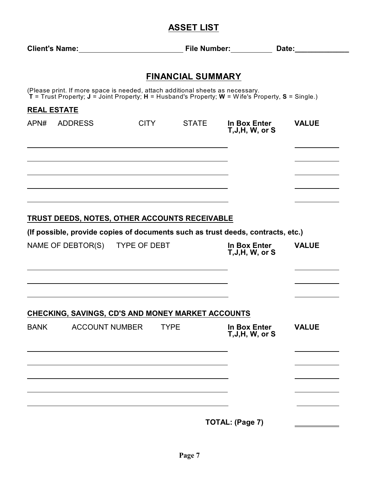## **ASSET LIST**

| Client's Name:<br><u> Client's Name:</u>                                                                                                                                            |                                                                                                                                                                                                                               | File Number: |                                         | Date:_________ |  |
|-------------------------------------------------------------------------------------------------------------------------------------------------------------------------------------|-------------------------------------------------------------------------------------------------------------------------------------------------------------------------------------------------------------------------------|--------------|-----------------------------------------|----------------|--|
|                                                                                                                                                                                     | <b>FINANCIAL SUMMARY</b>                                                                                                                                                                                                      |              |                                         |                |  |
| (Please print. If more space is needed, attach additional sheets as necessary.<br>T = Trust Property; J = Joint Property; H = Husband's Property; W = Wife's Property, S = Single.) |                                                                                                                                                                                                                               |              |                                         |                |  |
| <b>REAL ESTATE</b>                                                                                                                                                                  |                                                                                                                                                                                                                               |              |                                         |                |  |
| APN# ADDRESS                                                                                                                                                                        | <b>CITY</b>                                                                                                                                                                                                                   | <b>STATE</b> | In Box Enter<br>$T, J, H, W,$ or S      | <b>VALUE</b>   |  |
|                                                                                                                                                                                     |                                                                                                                                                                                                                               |              |                                         |                |  |
|                                                                                                                                                                                     |                                                                                                                                                                                                                               |              |                                         |                |  |
| <b>TRUST DEEDS, NOTES, OTHER ACCOUNTS RECEIVABLE</b>                                                                                                                                |                                                                                                                                                                                                                               |              |                                         |                |  |
| (If possible, provide copies of documents such as trust deeds, contracts, etc.)                                                                                                     |                                                                                                                                                                                                                               |              |                                         |                |  |
| NAME OF DEBTOR(S) TYPE OF DEBT                                                                                                                                                      |                                                                                                                                                                                                                               |              | In Box Enter<br>$T, J, H, W,$ or S      | <b>VALUE</b>   |  |
|                                                                                                                                                                                     | the control of the control of the control of the control of the control of the control of the control of the control of the control of the control of the control of the control of the control of the control of the control |              |                                         |                |  |
| CHECKING, SAVINGS, CD'S AND MONEY MARKET ACCOUNTS                                                                                                                                   |                                                                                                                                                                                                                               |              |                                         |                |  |
| <b>BANK</b><br><b>ACCOUNT NUMBER</b>                                                                                                                                                | <b>TYPE</b>                                                                                                                                                                                                                   |              | <b>In Box Enter</b><br>T, J, H, W, or S | <b>VALUE</b>   |  |
|                                                                                                                                                                                     |                                                                                                                                                                                                                               |              |                                         |                |  |
|                                                                                                                                                                                     |                                                                                                                                                                                                                               |              |                                         |                |  |
|                                                                                                                                                                                     |                                                                                                                                                                                                                               |              | TOTAL: (Page 7)                         |                |  |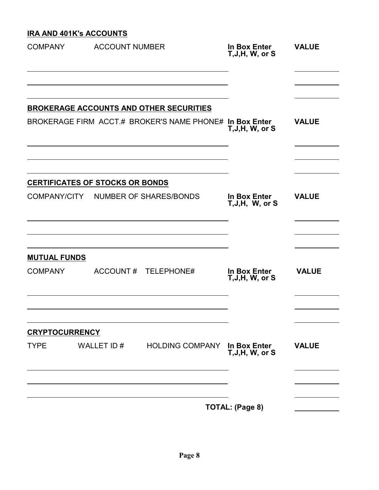## **IRA AND 401K's ACCOUNTS**

| <b>COMPANY</b>        | <b>ACCOUNT NUMBER</b>                  |                                                         | In Box Enter<br>$T, J, H, W,$ or S | <b>VALUE</b> |
|-----------------------|----------------------------------------|---------------------------------------------------------|------------------------------------|--------------|
|                       |                                        | <b>BROKERAGE ACCOUNTS AND OTHER SECURITIES</b>          |                                    |              |
|                       |                                        | BROKERAGE FIRM ACCT.# BROKER'S NAME PHONE# In Box Enter | $T, J, H, W,$ or S                 | <b>VALUE</b> |
|                       | <b>CERTIFICATES OF STOCKS OR BONDS</b> |                                                         |                                    |              |
| COMPANY/CITY          |                                        | <b>NUMBER OF SHARES/BONDS</b>                           | In Box Enter<br>T, J, H, W, or S   | <b>VALUE</b> |
| <b>MUTUAL FUNDS</b>   |                                        |                                                         |                                    |              |
| <b>COMPANY</b>        | ACCOUNT#                               | TELEPHONE#                                              | In Box Enter<br>$T, J, H, W,$ or S | <b>VALUE</b> |
| <b>CRYPTOCURRENCY</b> |                                        |                                                         |                                    |              |
| <b>TYPE</b>           | WALLET ID #                            | HOLDING COMPANY In Box Enter                            | T, J, H, W, or S                   | <b>VALUE</b> |
|                       |                                        |                                                         |                                    |              |
|                       |                                        |                                                         | TOTAL: (Page 8)                    |              |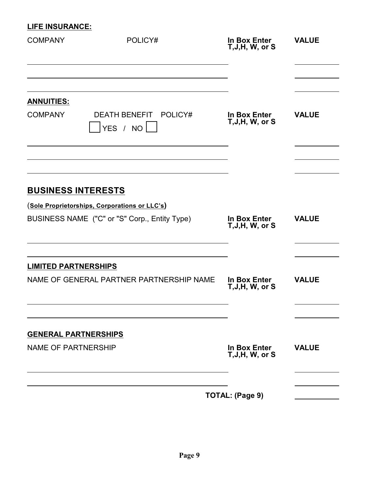### **LIFE INSURANCE:**

| <b>COMPANY</b>                                            | POLICY#                                                                                                                     | In Box Enter<br>$T, J, H, W,$ or S | <b>VALUE</b> |
|-----------------------------------------------------------|-----------------------------------------------------------------------------------------------------------------------------|------------------------------------|--------------|
| <b>ANNUITIES:</b><br><b>COMPANY</b>                       | DEATH BENEFIT POLICY#<br>YES / NO                                                                                           | In Box Enter<br>$T, J, H, W,$ or S | <b>VALUE</b> |
|                                                           | <b>BUSINESS INTERESTS</b><br>(Sole Proprietorships, Corporations or LLC's)<br>BUSINESS NAME ("C" or "S" Corp., Entity Type) | In Box Enter<br>$T, J, H, W,$ or S | <b>VALUE</b> |
| <b>LIMITED PARTNERSHIPS</b>                               | NAME OF GENERAL PARTNER PARTNERSHIP NAME                                                                                    | In Box Enter<br>T, J, H, W, or S   | <b>VALUE</b> |
| <b>GENERAL PARTNERSHIPS</b><br><b>NAME OF PARTNERSHIP</b> |                                                                                                                             | In Box Enter<br>T, J, H, W, or S   | <b>VALUE</b> |
|                                                           |                                                                                                                             | TOTAL: (Page 9)                    |              |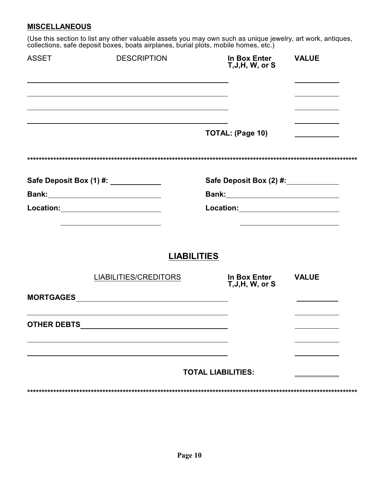#### **MISCELLANEOUS**

(Use this section to list any other valuable assets you may own such as unique jewelry, art work, antiques, collections, safe deposit boxes, boats airplanes, burial plots, mobile homes, etc.)

| <b>ASSET</b>       | <b>DESCRIPTION</b>                                                                                                   | In Box Enter<br>T, J, H, W, or S                                                                                                                                                                                                                                                                                                                                                                                                                                                                                                                       | <b>VALUE</b> |  |
|--------------------|----------------------------------------------------------------------------------------------------------------------|--------------------------------------------------------------------------------------------------------------------------------------------------------------------------------------------------------------------------------------------------------------------------------------------------------------------------------------------------------------------------------------------------------------------------------------------------------------------------------------------------------------------------------------------------------|--------------|--|
|                    |                                                                                                                      |                                                                                                                                                                                                                                                                                                                                                                                                                                                                                                                                                        |              |  |
|                    |                                                                                                                      | <b>TOTAL: (Page 10)</b>                                                                                                                                                                                                                                                                                                                                                                                                                                                                                                                                |              |  |
|                    |                                                                                                                      |                                                                                                                                                                                                                                                                                                                                                                                                                                                                                                                                                        |              |  |
|                    | Safe Deposit Box (1) #: ____________                                                                                 | Safe Deposit Box (2) #: _____________                                                                                                                                                                                                                                                                                                                                                                                                                                                                                                                  |              |  |
|                    |                                                                                                                      |                                                                                                                                                                                                                                                                                                                                                                                                                                                                                                                                                        |              |  |
|                    | Location: _________________________                                                                                  | $\textbf{\textcolor{red}{\textbf{Location:}} \textcolor{red}{\textcolor{green}{\textbf{Location:}} \textcolor{blue}{\textcolor{green}{\textbf{Location:}} \textcolor{blue}{\textcolor{blue}{\textbf{[1]}} \textcolor{blue}{\textbf{Local:}} \textcolor{blue}{\textbf{[2]}} \textcolor{blue}{\textbf{[3]}} \textcolor{blue}{\textbf{[4]}} \textcolor{blue}{\textbf{[5]}} \textcolor{blue}{\textbf{[6]}} \textcolor{blue}{\textbf{[6]}} \textcolor{blue}{\textbf{[6]}} \textcolor{blue}{\textbf{[6]}} \textcolor{blue}{\textbf{[6]}} \textcolor{blue}{\$ |              |  |
|                    | <b>LIABILITIES</b>                                                                                                   |                                                                                                                                                                                                                                                                                                                                                                                                                                                                                                                                                        |              |  |
|                    | <b>LIABILITIES/CREDITORS</b>                                                                                         | In Box Enter<br>T, J, H, W, or S                                                                                                                                                                                                                                                                                                                                                                                                                                                                                                                       | <b>VALUE</b> |  |
|                    |                                                                                                                      |                                                                                                                                                                                                                                                                                                                                                                                                                                                                                                                                                        |              |  |
| <b>OTHER DEBTS</b> | <u> 1989 - Johann Stein, marwolaethau a bhann an t-Amhair an t-Amhair an t-Amhair an t-Amhair an t-Amhair an t-A</u> |                                                                                                                                                                                                                                                                                                                                                                                                                                                                                                                                                        |              |  |
|                    |                                                                                                                      |                                                                                                                                                                                                                                                                                                                                                                                                                                                                                                                                                        |              |  |
|                    |                                                                                                                      | <b>TOTAL LIABILITIES:</b>                                                                                                                                                                                                                                                                                                                                                                                                                                                                                                                              |              |  |
|                    |                                                                                                                      |                                                                                                                                                                                                                                                                                                                                                                                                                                                                                                                                                        |              |  |